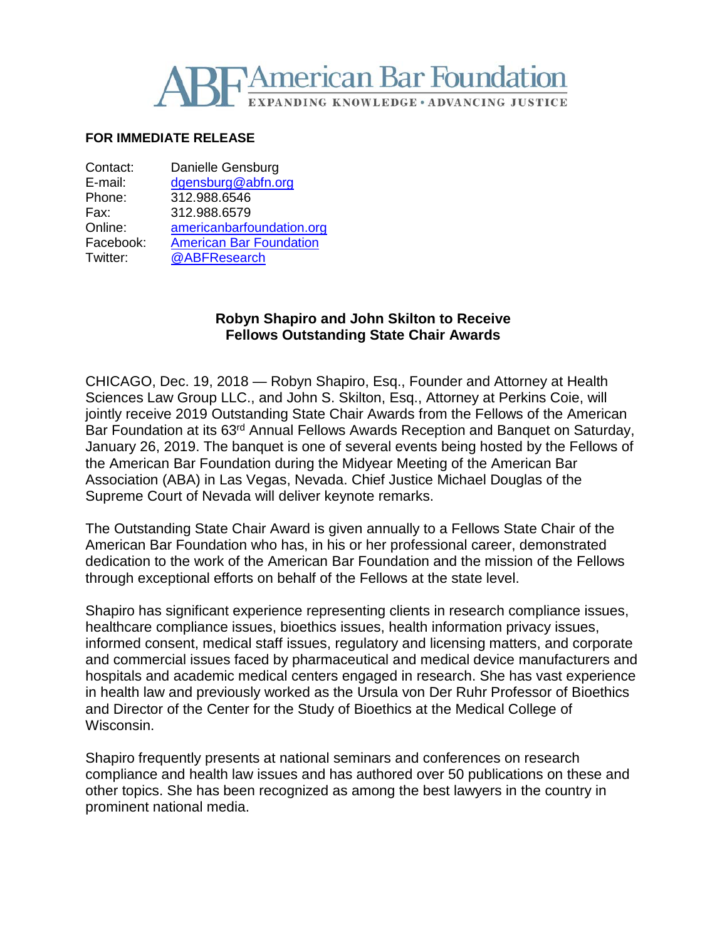

### **FOR IMMEDIATE RELEASE**

| Contact:  | Danielle Gensburg              |
|-----------|--------------------------------|
| E-mail:   | dgensburg@abfn.org             |
| Phone:    | 312.988.6546                   |
| Fax:      | 312.988.6579                   |
| Online:   | americanbarfoundation.org      |
| Facebook: | <b>American Bar Foundation</b> |
| Twitter:  | @ABFResearch                   |
|           |                                |

# **Robyn Shapiro and John Skilton to Receive Fellows Outstanding State Chair Awards**

CHICAGO, Dec. 19, 2018 — Robyn Shapiro, Esq., Founder and Attorney at Health Sciences Law Group LLC., and John S. Skilton, Esq., Attorney at Perkins Coie, will jointly receive 2019 Outstanding State Chair Awards from the Fellows of the American Bar Foundation at its 63<sup>rd</sup> Annual Fellows Awards Reception and Banquet on Saturday, January 26, 2019. The banquet is one of several events being hosted by the Fellows of the American Bar Foundation during the Midyear Meeting of the American Bar Association (ABA) in Las Vegas, Nevada. Chief Justice Michael Douglas of the Supreme Court of Nevada will deliver keynote remarks.

The Outstanding State Chair Award is given annually to a Fellows State Chair of the American Bar Foundation who has, in his or her professional career, demonstrated dedication to the work of the American Bar Foundation and the mission of the Fellows through exceptional efforts on behalf of the Fellows at the state level.

Shapiro has significant experience representing clients in research compliance issues, healthcare compliance issues, bioethics issues, health information privacy issues, informed consent, medical staff issues, regulatory and licensing matters, and corporate and commercial issues faced by pharmaceutical and medical device manufacturers and hospitals and academic medical centers engaged in research. She has vast experience in health law and previously worked as the Ursula von Der Ruhr Professor of Bioethics and Director of the Center for the Study of Bioethics at the Medical College of Wisconsin.

Shapiro frequently presents at national seminars and conferences on research compliance and health law issues and has authored over 50 publications on these and other topics. She has been recognized as among the best lawyers in the country in prominent national media.